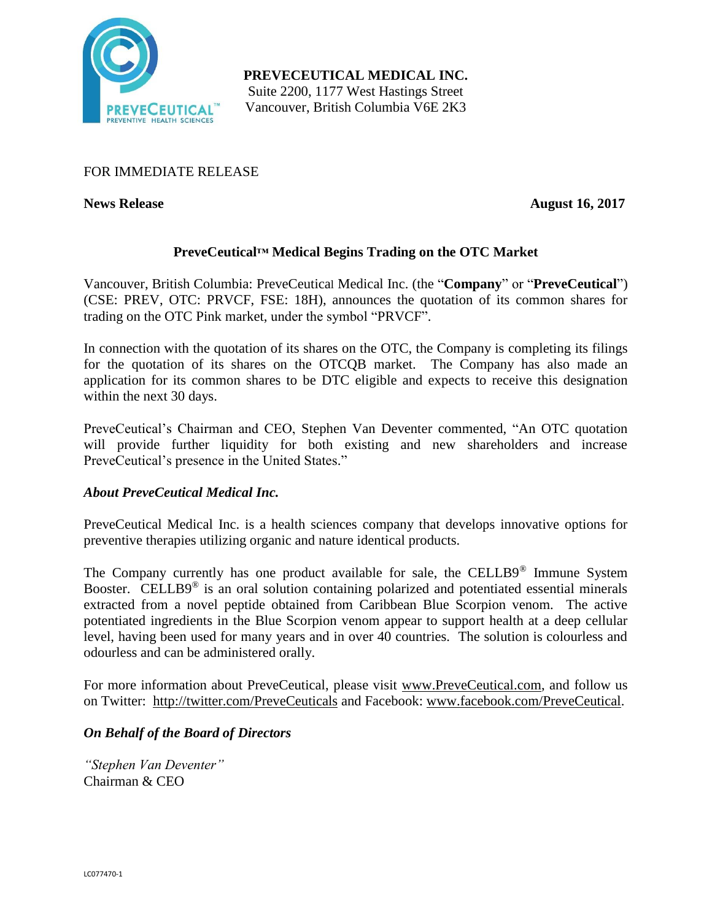

**PREVECEUTICAL MEDICAL INC.** Suite 2200, 1177 West Hastings Street Vancouver, British Columbia V6E 2K3

# FOR IMMEDIATE RELEASE

**News Release** August 16, 2017

# **PreveCeutical™ Medical Begins Trading on the OTC Market**

Vancouver, British Columbia: PreveCeutical Medical Inc. (the "**Company**" or "**PreveCeutical**") (CSE: PREV, OTC: PRVCF, FSE: 18H), announces the quotation of its common shares for trading on the OTC Pink market, under the symbol "PRVCF".

In connection with the quotation of its shares on the OTC, the Company is completing its filings for the quotation of its shares on the OTCQB market. The Company has also made an application for its common shares to be DTC eligible and expects to receive this designation within the next 30 days.

PreveCeutical's Chairman and CEO, Stephen Van Deventer commented, "An OTC quotation will provide further liquidity for both existing and new shareholders and increase PreveCeutical's presence in the United States."

## *About PreveCeutical Medical Inc.*

PreveCeutical Medical Inc. is a health sciences company that develops innovative options for preventive therapies utilizing organic and nature identical products.

The Company currently has one product available for sale, the CELLB9® Immune System Booster. CELLB9<sup>®</sup> is an oral solution containing polarized and potentiated essential minerals extracted from a novel peptide obtained from Caribbean Blue Scorpion venom. The active potentiated ingredients in the Blue Scorpion venom appear to support health at a deep cellular level, having been used for many years and in over 40 countries. The solution is colourless and odourless and can be administered orally.

For more information about PreveCeutical, please visit www.PreveCeutical.com, and follow us on Twitter: http://twitter.com/PreveCeuticals and Facebook: www.facebook.com/PreveCeutical.

## *On Behalf of the Board of Directors*

*"Stephen Van Deventer"* Chairman & CEO